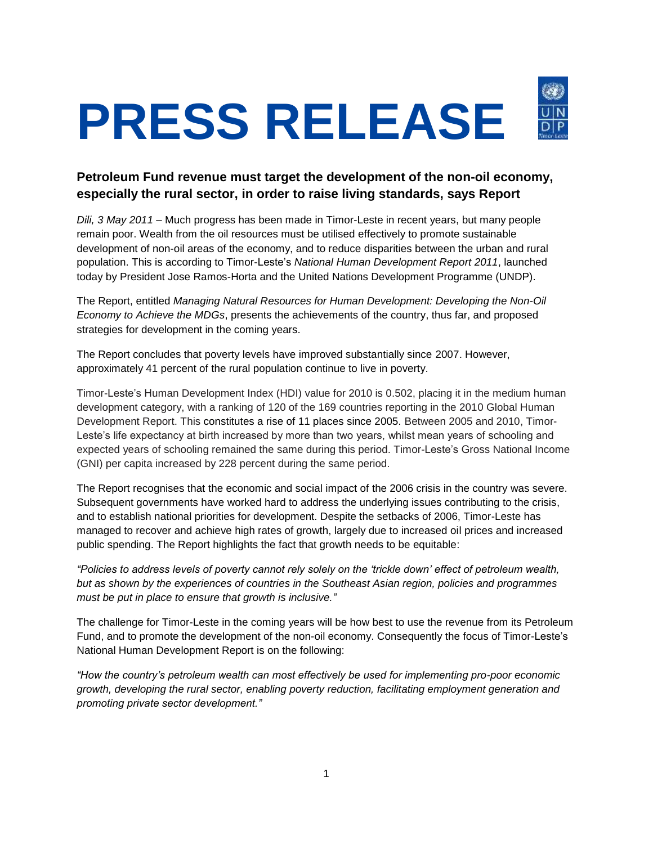# **PRESS RELEASE**

# **Petroleum Fund revenue must target the development of the non-oil economy, especially the rural sector, in order to raise living standards, says Report**

*Dili, 3 May 2011* – Much progress has been made in Timor-Leste in recent years, but many people remain poor. Wealth from the oil resources must be utilised effectively to promote sustainable development of non-oil areas of the economy, and to reduce disparities between the urban and rural population. This is according to Timor-Leste's *National Human Development Report 2011*, launched today by President Jose Ramos-Horta and the United Nations Development Programme (UNDP).

The Report, entitled *Managing Natural Resources for Human Development: Developing the Non-Oil Economy to Achieve the MDGs*, presents the achievements of the country, thus far, and proposed strategies for development in the coming years.

The Report concludes that poverty levels have improved substantially since 2007. However, approximately 41 percent of the rural population continue to live in poverty.

Timor-Leste's Human Development Index (HDI) value for 2010 is 0.502, placing it in the medium human development category, with a ranking of 120 of the 169 countries reporting in the 2010 Global Human Development Report. This constitutes a rise of 11 places since 2005. Between 2005 and 2010, Timor-Leste's life expectancy at birth increased by more than two years, whilst mean years of schooling and expected years of schooling remained the same during this period. Timor-Leste's Gross National Income (GNI) per capita increased by 228 percent during the same period.

The Report recognises that the economic and social impact of the 2006 crisis in the country was severe. Subsequent governments have worked hard to address the underlying issues contributing to the crisis, and to establish national priorities for development. Despite the setbacks of 2006, Timor-Leste has managed to recover and achieve high rates of growth, largely due to increased oil prices and increased public spending. The Report highlights the fact that growth needs to be equitable:

*"Policies to address levels of poverty cannot rely solely on the "trickle down" effect of petroleum wealth, but as shown by the experiences of countries in the Southeast Asian region, policies and programmes must be put in place to ensure that growth is inclusive."*

The challenge for Timor-Leste in the coming years will be how best to use the revenue from its Petroleum Fund, and to promote the development of the non-oil economy. Consequently the focus of Timor-Leste's National Human Development Report is on the following:

*"How the country"s petroleum wealth can most effectively be used for implementing pro-poor economic growth, developing the rural sector, enabling poverty reduction, facilitating employment generation and promoting private sector development."*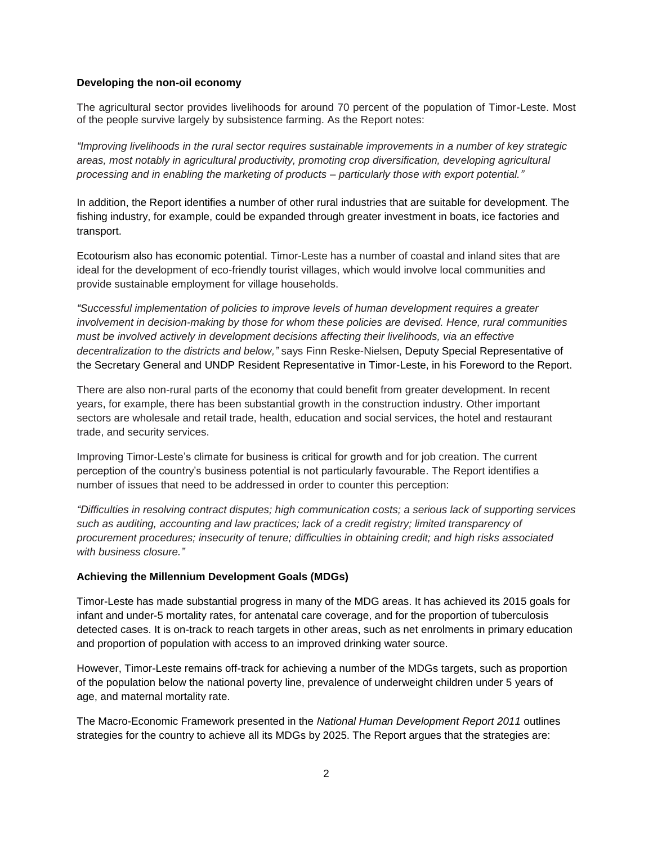## **Developing the non-oil economy**

The agricultural sector provides livelihoods for around 70 percent of the population of Timor-Leste. Most of the people survive largely by subsistence farming. As the Report notes:

*"Improving livelihoods in the rural sector requires sustainable improvements in a number of key strategic areas, most notably in agricultural productivity, promoting crop diversification, developing agricultural processing and in enabling the marketing of products – particularly those with export potential."*

In addition, the Report identifies a number of other rural industries that are suitable for development. The fishing industry, for example, could be expanded through greater investment in boats, ice factories and transport.

Ecotourism also has economic potential. Timor-Leste has a number of coastal and inland sites that are ideal for the development of eco-friendly tourist villages, which would involve local communities and provide sustainable employment for village households.

*"Successful implementation of policies to improve levels of human development requires a greater involvement in decision-making by those for whom these policies are devised. Hence, rural communities must be involved actively in development decisions affecting their livelihoods, via an effective decentralization to the districts and below,"* says Finn Reske-Nielsen, Deputy Special Representative of the Secretary General and UNDP Resident Representative in Timor-Leste, in his Foreword to the Report.

There are also non-rural parts of the economy that could benefit from greater development. In recent years, for example, there has been substantial growth in the construction industry. Other important sectors are wholesale and retail trade, health, education and social services, the hotel and restaurant trade, and security services.

Improving Timor-Leste's climate for business is critical for growth and for job creation. The current perception of the country's business potential is not particularly favourable. The Report identifies a number of issues that need to be addressed in order to counter this perception:

*"Difficulties in resolving contract disputes; high communication costs; a serious lack of supporting services such as auditing, accounting and law practices; lack of a credit registry; limited transparency of procurement procedures; insecurity of tenure; difficulties in obtaining credit; and high risks associated with business closure."*

## **Achieving the Millennium Development Goals (MDGs)**

Timor-Leste has made substantial progress in many of the MDG areas. It has achieved its 2015 goals for infant and under-5 mortality rates, for antenatal care coverage, and for the proportion of tuberculosis detected cases. It is on-track to reach targets in other areas, such as net enrolments in primary education and proportion of population with access to an improved drinking water source.

However, Timor-Leste remains off-track for achieving a number of the MDGs targets, such as proportion of the population below the national poverty line, prevalence of underweight children under 5 years of age, and maternal mortality rate.

The Macro-Economic Framework presented in the *National Human Development Report 2011* outlines strategies for the country to achieve all its MDGs by 2025. The Report argues that the strategies are: